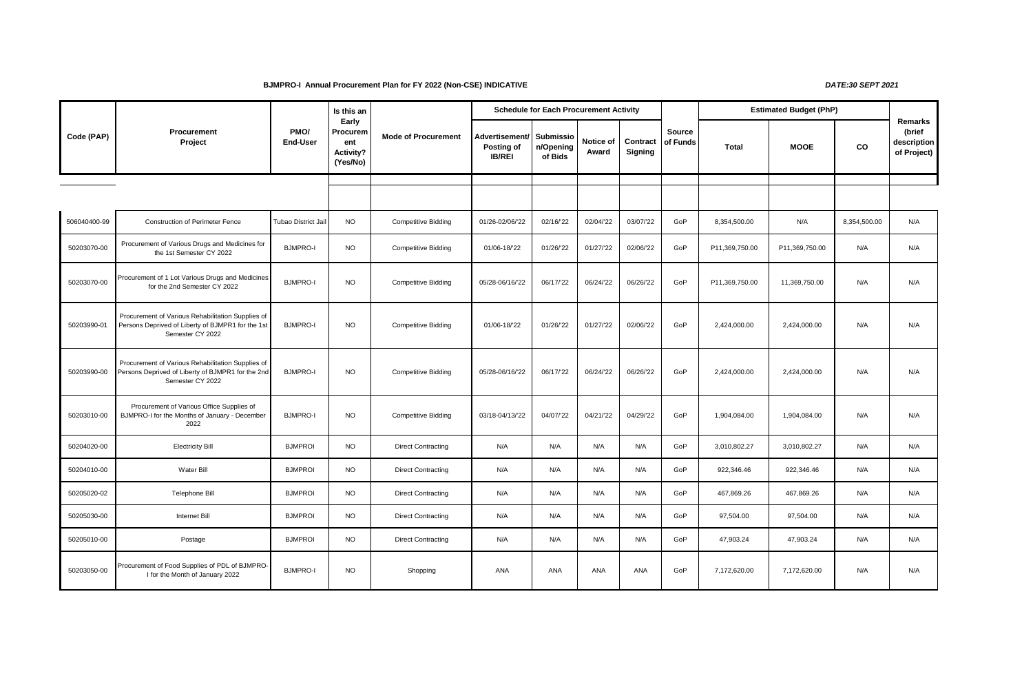## **BJMPRO-I Annual Procurement Plan for FY 2022 (Non-CSE) INDICATIVE** *DATE:30 SEPT 2021*

|              | <b>Procurement</b><br>Project                                                                                              | PMO/<br><b>End-User</b> | Is this an<br>Early<br>Procurem<br>ent<br>Activity?<br>(Yes/No) | <b>Mode of Procurement</b> |                                               | <b>Schedule for Each Procurement Activity</b> |                    |                     |                           | <b>Estimated Budget (PhP)</b> |                |              |                                                 |
|--------------|----------------------------------------------------------------------------------------------------------------------------|-------------------------|-----------------------------------------------------------------|----------------------------|-----------------------------------------------|-----------------------------------------------|--------------------|---------------------|---------------------------|-------------------------------|----------------|--------------|-------------------------------------------------|
| Code (PAP)   |                                                                                                                            |                         |                                                                 |                            | Advertisement/<br>Posting of<br><b>IB/REI</b> | <b>Submissio</b><br>n/Opening<br>of Bids      | Notice of<br>Award | Contract<br>Signing | <b>Source</b><br>of Funds | <b>Total</b>                  | <b>MOOE</b>    | CO           | Remarks<br>(brief<br>description<br>of Project) |
|              |                                                                                                                            |                         |                                                                 |                            |                                               |                                               |                    |                     |                           |                               |                |              |                                                 |
|              |                                                                                                                            |                         |                                                                 |                            |                                               |                                               |                    |                     |                           |                               |                |              |                                                 |
| 506040400-99 | <b>Construction of Perimeter Fence</b>                                                                                     | Tubao District Jail     | <b>NO</b>                                                       | <b>Competitive Bidding</b> | 01/26-02/06/'22                               | 02/16/22                                      | 02/04/22           | 03/07/'22           | GoP                       | 8,354,500.00                  | N/A            | 8,354,500.00 | N/A                                             |
| 50203070-00  | Procurement of Various Drugs and Medicines for<br>the 1st Semester CY 2022                                                 | <b>BJMPRO-I</b>         | <b>NO</b>                                                       | <b>Competitive Bidding</b> | 01/06-18/'22                                  | 01/26/22                                      | 01/27/22           | 02/06/'22           | GoP                       | P11,369,750.00                | P11,369,750.00 | N/A          | N/A                                             |
| 50203070-00  | Procurement of 1 Lot Various Drugs and Medicines<br>for the 2nd Semester CY 2022                                           | <b>BJMPRO-I</b>         | <b>NO</b>                                                       | <b>Competitive Bidding</b> | 05/28-06/16/'22                               | 06/17/22                                      | 06/24/22           | 06/26/22            | GoP                       | P11,369,750.00                | 11,369,750.00  | N/A          | N/A                                             |
| 50203990-01  | Procurement of Various Rehabilitation Supplies of<br>Persons Deprived of Liberty of BJMPR1 for the 1st<br>Semester CY 2022 | <b>BJMPRO-I</b>         | <b>NO</b>                                                       | <b>Competitive Bidding</b> | 01/06-18/'22                                  | 01/26/22                                      | 01/27/22           | 02/06/'22           | GoP                       | 2,424,000.00                  | 2,424,000.00   | N/A          | N/A                                             |
| 50203990-00  | Procurement of Various Rehabilitation Supplies of<br>Persons Deprived of Liberty of BJMPR1 for the 2nd<br>Semester CY 2022 | <b>BJMPRO-I</b>         | <b>NO</b>                                                       | <b>Competitive Bidding</b> | 05/28-06/16/'22                               | 06/17/22                                      | 06/24/22           | 06/26/'22           | GoP                       | 2,424,000.00                  | 2,424,000.00   | N/A          | N/A                                             |
| 50203010-00  | Procurement of Various Office Supplies of<br>BJMPRO-I for the Months of January - December<br>2022                         | <b>BJMPRO-I</b>         | <b>NO</b>                                                       | <b>Competitive Bidding</b> | 03/18-04/13/'22                               | 04/07/'22                                     | 04/21/22           | 04/29/'22           | GoP                       | 1,904,084.00                  | 1,904,084.00   | N/A          | N/A                                             |
| 50204020-00  | <b>Electricity Bill</b>                                                                                                    | <b>BJMPROI</b>          | <b>NO</b>                                                       | <b>Direct Contracting</b>  | N/A                                           | N/A                                           | N/A                | N/A                 | GoP                       | 3,010,802.27                  | 3,010,802.27   | N/A          | N/A                                             |
| 50204010-00  | Water Bill                                                                                                                 | <b>BJMPROI</b>          | <b>NO</b>                                                       | <b>Direct Contracting</b>  | N/A                                           | N/A                                           | N/A                | N/A                 | GoP                       | 922,346.46                    | 922,346.46     | N/A          | N/A                                             |
| 50205020-02  | Telephone Bill                                                                                                             | <b>BJMPROI</b>          | <b>NO</b>                                                       | <b>Direct Contracting</b>  | N/A                                           | N/A                                           | N/A                | N/A                 | GoP                       | 467,869.26                    | 467,869.26     | N/A          | N/A                                             |
| 50205030-00  | Internet Bill                                                                                                              | <b>BJMPROI</b>          | <b>NO</b>                                                       | <b>Direct Contracting</b>  | N/A                                           | N/A                                           | N/A                | N/A                 | GoP                       | 97,504.00                     | 97,504.00      | N/A          | N/A                                             |
| 50205010-00  | Postage                                                                                                                    | <b>BJMPROI</b>          | <b>NO</b>                                                       | <b>Direct Contracting</b>  | N/A                                           | N/A                                           | N/A                | N/A                 | GoP                       | 47,903.24                     | 47,903.24      | N/A          | N/A                                             |
| 50203050-00  | Procurement of Food Supplies of PDL of BJMPRO-<br>I for the Month of January 2022                                          | <b>BJMPRO-I</b>         | <b>NO</b>                                                       | Shopping                   | ANA                                           | ANA                                           | ANA                | ANA                 | GoP                       | 7,172,620.00                  | 7,172,620.00   | N/A          | N/A                                             |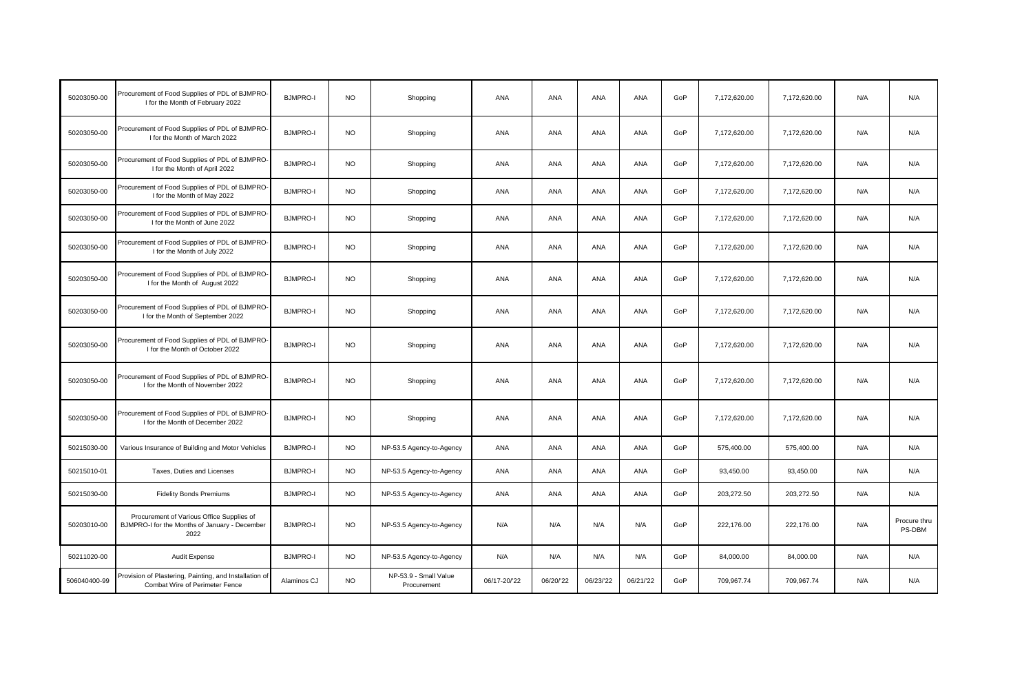| 50203050-00  | Procurement of Food Supplies of PDL of BJMPRO-<br>I for the Month of February 2022                 | <b>BJMPRO-I</b> | <b>NO</b> | Shopping                             | ANA         | ANA       | ANA        | ANA        | GoP | 7,172,620.00 | 7,172,620.00 | N/A | N/A                    |
|--------------|----------------------------------------------------------------------------------------------------|-----------------|-----------|--------------------------------------|-------------|-----------|------------|------------|-----|--------------|--------------|-----|------------------------|
| 50203050-00  | Procurement of Food Supplies of PDL of BJMPRO-<br>I for the Month of March 2022                    | <b>BJMPRO-I</b> | <b>NO</b> | Shopping                             | ANA         | ANA       | ANA        | ANA        | GoP | 7,172,620.00 | 7,172,620.00 | N/A | N/A                    |
| 50203050-00  | Procurement of Food Supplies of PDL of BJMPRO-<br>I for the Month of April 2022                    | <b>BJMPRO-I</b> | <b>NO</b> | Shopping                             | ANA         | ANA       | ANA        | ANA        | GoP | 7,172,620.00 | 7,172,620.00 | N/A | N/A                    |
| 50203050-00  | Procurement of Food Supplies of PDL of BJMPRO-<br>I for the Month of May 2022                      | <b>BJMPRO-I</b> | <b>NO</b> | Shopping                             | ANA         | ANA       | ANA        | ANA        | GoP | 7,172,620.00 | 7,172,620.00 | N/A | N/A                    |
| 50203050-00  | Procurement of Food Supplies of PDL of BJMPRO-<br>I for the Month of June 2022                     | <b>BJMPRO-I</b> | <b>NO</b> | Shopping                             | <b>ANA</b>  | ANA       | ANA        | ANA        | GoP | 7,172,620.00 | 7,172,620.00 | N/A | N/A                    |
| 50203050-00  | Procurement of Food Supplies of PDL of BJMPRO-<br>I for the Month of July 2022                     | <b>BJMPRO-I</b> | <b>NO</b> | Shopping                             | ANA         | ANA       | ANA        | ANA        | GoP | 7,172,620.00 | 7,172,620.00 | N/A | N/A                    |
| 50203050-00  | Procurement of Food Supplies of PDL of BJMPRO-<br>I for the Month of August 2022                   | <b>BJMPRO-I</b> | <b>NO</b> | Shopping                             | <b>ANA</b>  | ANA       | <b>ANA</b> | ANA        | GoP | 7,172,620.00 | 7,172,620.00 | N/A | N/A                    |
| 50203050-00  | Procurement of Food Supplies of PDL of BJMPRO-<br>I for the Month of September 2022                | <b>BJMPRO-I</b> | <b>NO</b> | Shopping                             | <b>ANA</b>  | ANA       | <b>ANA</b> | ANA        | GoP | 7,172,620.00 | 7,172,620.00 | N/A | N/A                    |
| 50203050-00  | Procurement of Food Supplies of PDL of BJMPRO-<br>I for the Month of October 2022                  | <b>BJMPRO-I</b> | <b>NO</b> | Shopping                             | ANA         | ANA       | ANA        | ANA        | GoP | 7,172,620.00 | 7,172,620.00 | N/A | N/A                    |
| 50203050-00  | Procurement of Food Supplies of PDL of BJMPRO-<br>I for the Month of November 2022                 | <b>BJMPRO-I</b> | <b>NO</b> | Shopping                             | ANA         | ANA       | ANA        | ANA        | GoP | 7,172,620.00 | 7,172,620.00 | N/A | N/A                    |
| 50203050-00  | Procurement of Food Supplies of PDL of BJMPRO-<br>I for the Month of December 2022                 | <b>BJMPRO-I</b> | NO.       | Shopping                             | <b>ANA</b>  | ANA       | ANA        | ANA        | GoP | 7,172,620.00 | 7,172,620.00 | N/A | N/A                    |
| 50215030-00  | Various Insurance of Building and Motor Vehicles                                                   | <b>BJMPRO-I</b> | NO.       | NP-53.5 Agency-to-Agency             | <b>ANA</b>  | ANA       | <b>ANA</b> | ANA        | GoP | 575,400.00   | 575,400.00   | N/A | N/A                    |
| 50215010-01  | Taxes, Duties and Licenses                                                                         | <b>BJMPRO-I</b> | <b>NO</b> | NP-53.5 Agency-to-Agency             | ANA         | ANA       | ANA        | ANA        | GoP | 93,450.00    | 93,450.00    | N/A | N/A                    |
| 50215030-00  | <b>Fidelity Bonds Premiums</b>                                                                     | <b>BJMPRO-I</b> | <b>NO</b> | NP-53.5 Agency-to-Agency             | <b>ANA</b>  | ANA       | <b>ANA</b> | <b>ANA</b> | GoP | 203,272.50   | 203,272.50   | N/A | N/A                    |
| 50203010-00  | Procurement of Various Office Supplies of<br>BJMPRO-I for the Months of January - December<br>2022 | <b>BJMPRO-I</b> | <b>NO</b> | NP-53.5 Agency-to-Agency             | N/A         | N/A       | N/A        | N/A        | GoP | 222,176.00   | 222,176.00   | N/A | Procure thru<br>PS-DBM |
| 50211020-00  | Audit Expense                                                                                      | <b>BJMPRO-I</b> | <b>NO</b> | NP-53.5 Agency-to-Agency             | N/A         | N/A       | N/A        | N/A        | GoP | 84,000.00    | 84,000.00    | N/A | N/A                    |
| 506040400-99 | Provision of Plastering, Painting, and Installation of<br>Combat Wire of Perimeter Fence           | Alaminos CJ     | NO.       | NP-53.9 - Small Value<br>Procurement | 06/17-20/22 | 06/20/'22 | 06/23/22   | 06/21/22   | GoP | 709,967.74   | 709,967.74   | N/A | N/A                    |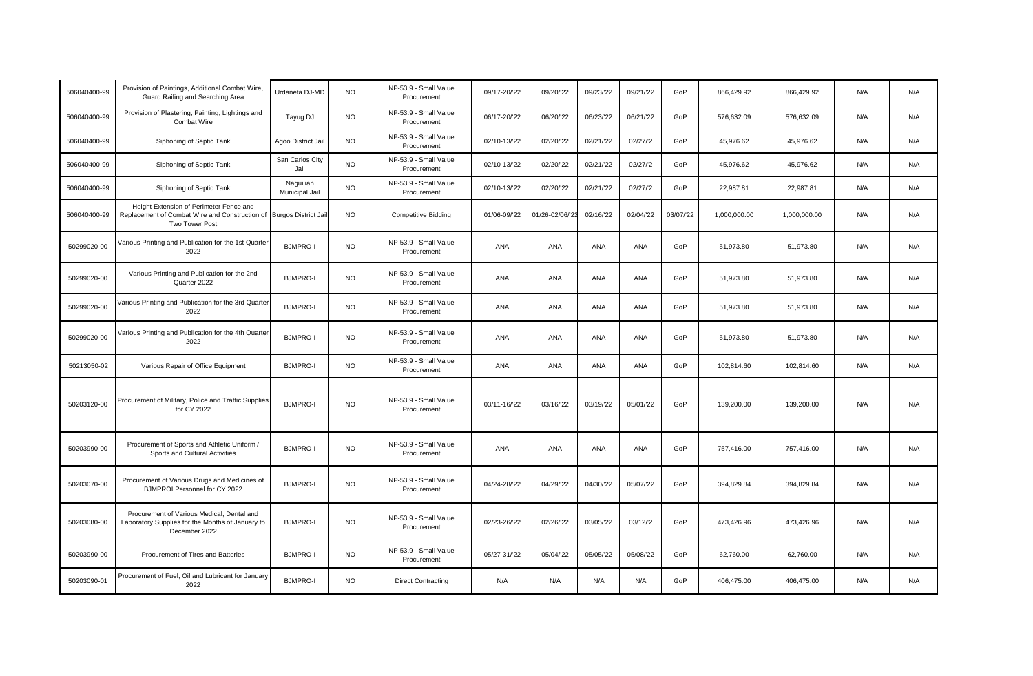| 506040400-99 | Provision of Paintings, Additional Combat Wire,<br>Guard Railing and Searching Area                                              | Urdaneta DJ-MD              | NO.       | NP-53.9 - Small Value<br>Procurement | 09/17-20/22  | 09/20/'22       | 09/23/22  | 09/21/22   | GoP       | 866,429.92   | 866,429.92   | N/A | N/A |
|--------------|----------------------------------------------------------------------------------------------------------------------------------|-----------------------------|-----------|--------------------------------------|--------------|-----------------|-----------|------------|-----------|--------------|--------------|-----|-----|
| 506040400-99 | Provision of Plastering, Painting, Lightings and<br>Combat Wire                                                                  | Tayug DJ                    | <b>NO</b> | NP-53.9 - Small Value<br>Procurement | 06/17-20/'22 | 06/20/22        | 06/23/22  | 06/21/22   | GoP       | 576,632.09   | 576,632.09   | N/A | N/A |
| 506040400-99 | Siphoning of Septic Tank                                                                                                         | Agoo District Jail          | <b>NO</b> | NP-53.9 - Small Value<br>Procurement | 02/10-13/22  | 02/20/22        | 02/21/22  | 02/27/2    | GoP       | 45,976.62    | 45,976.62    | N/A | N/A |
| 506040400-99 | Siphoning of Septic Tank                                                                                                         | San Carlos City<br>Jail     | <b>NO</b> | NP-53.9 - Small Value<br>Procurement | 02/10-13/22  | 02/20/22        | 02/21/22  | 02/27/2    | GoP       | 45,976.62    | 45,976.62    | N/A | N/A |
| 506040400-99 | Siphoning of Septic Tank                                                                                                         | Naguilian<br>Municipal Jail | <b>NO</b> | NP-53.9 - Small Value<br>Procurement | 02/10-13/22  | 02/20/22        | 02/21/22  | 02/27/2    | GoP       | 22,987.81    | 22,987.81    | N/A | N/A |
| 506040400-99 | Height Extension of Perimeter Fence and<br>Replacement of Combat Wire and Construction of Burgos District Jail<br>Two Tower Post |                             | <b>NO</b> | <b>Competitive Bidding</b>           | 01/06-09/'22 | 01/26-02/06/'22 | 02/16/22  | 02/04/'22  | 03/07/'22 | 1,000,000.00 | 1,000,000.00 | N/A | N/A |
| 50299020-00  | Various Printing and Publication for the 1st Quarter<br>2022                                                                     | <b>BJMPRO-I</b>             | <b>NO</b> | NP-53.9 - Small Value<br>Procurement | <b>ANA</b>   | ANA             | ANA       | ANA        | GoP       | 51,973.80    | 51,973.80    | N/A | N/A |
| 50299020-00  | Various Printing and Publication for the 2nd<br>Quarter 2022                                                                     | <b>BJMPRO-I</b>             | <b>NO</b> | NP-53.9 - Small Value<br>Procurement | <b>ANA</b>   | ANA             | ANA       | ANA        | GoP       | 51,973.80    | 51,973.80    | N/A | N/A |
| 50299020-00  | Various Printing and Publication for the 3rd Quarter<br>2022                                                                     | <b>BJMPRO-I</b>             | <b>NO</b> | NP-53.9 - Small Value<br>Procurement | <b>ANA</b>   | ANA             | ANA       | ANA        | GoP       | 51,973.80    | 51,973.80    | N/A | N/A |
| 50299020-00  | Various Printing and Publication for the 4th Quarter<br>2022                                                                     | <b>BJMPRO-I</b>             | <b>NO</b> | NP-53.9 - Small Value<br>Procurement | <b>ANA</b>   | ANA             | ANA       | <b>ANA</b> | GoP       | 51,973.80    | 51,973.80    | N/A | N/A |
| 50213050-02  | Various Repair of Office Equipment                                                                                               | <b>BJMPRO-I</b>             | <b>NO</b> | NP-53.9 - Small Value<br>Procurement | <b>ANA</b>   | ANA             | ANA       | ANA        | GoP       | 102,814.60   | 102,814.60   | N/A | N/A |
| 50203120-00  | Procurement of Military, Police and Traffic Supplies<br>for CY 2022                                                              | <b>BJMPRO-I</b>             | <b>NO</b> | NP-53.9 - Small Value<br>Procurement | 03/11-16/22  | 03/16/22        | 03/19/22  | 05/01/22   | GoP       | 139,200.00   | 139,200.00   | N/A | N/A |
| 50203990-00  | Procurement of Sports and Athletic Uniform /<br>Sports and Cultural Activities                                                   | <b>BJMPRO-I</b>             | <b>NO</b> | NP-53.9 - Small Value<br>Procurement | ANA          | ANA             | ANA       | ANA        | GoP       | 757,416.00   | 757,416.00   | N/A | N/A |
| 50203070-00  | Procurement of Various Drugs and Medicines of<br>BJMPROI Personnel for CY 2022                                                   | <b>BJMPRO-I</b>             | <b>NO</b> | NP-53.9 - Small Value<br>Procurement | 04/24-28/'22 | 04/29/'22       | 04/30/22  | 05/07/'22  | GoP       | 394,829.84   | 394,829.84   | N/A | N/A |
| 50203080-00  | Procurement of Various Medical, Dental and<br>Laboratory Supplies for the Months of January to<br>December 2022                  | <b>BJMPRO-I</b>             | <b>NO</b> | NP-53.9 - Small Value<br>Procurement | 02/23-26/'22 | 02/26/22        | 03/05/'22 | 03/12/2    | GoP       | 473,426.96   | 473,426.96   | N/A | N/A |
| 50203990-00  | Procurement of Tires and Batteries                                                                                               | <b>BJMPRO-I</b>             | <b>NO</b> | NP-53.9 - Small Value<br>Procurement | 05/27-31/22  | 05/04/'22       | 05/05/'22 | 05/08/'22  | GoP       | 62,760.00    | 62,760.00    | N/A | N/A |
| 50203090-01  | Procurement of Fuel, Oil and Lubricant for January<br>2022                                                                       | <b>BJMPRO-I</b>             | <b>NO</b> | <b>Direct Contracting</b>            | N/A          | N/A             | N/A       | N/A        | GoP       | 406.475.00   | 406,475.00   | N/A | N/A |